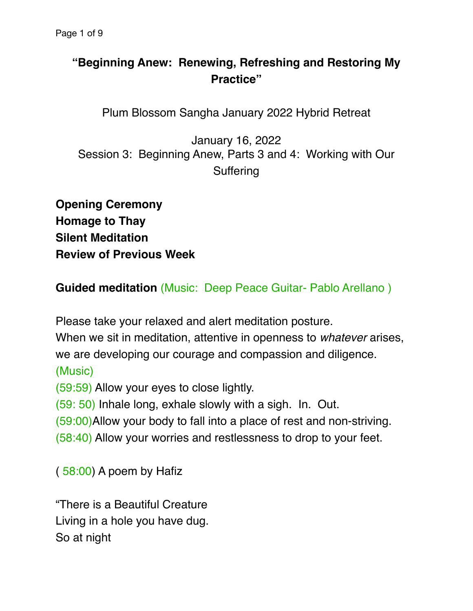## **"Beginning Anew: Renewing, Refreshing and Restoring My Practice"**

Plum Blossom Sangha January 2022 Hybrid Retreat

January 16, 2022 Session 3: Beginning Anew, Parts 3 and 4: Working with Our **Suffering** 

**Opening Ceremony Homage to Thay Silent Meditation Review of Previous Week**

**Guided meditation** (Music: Deep Peace Guitar- Pablo Arellano )

Please take your relaxed and alert meditation posture.

When we sit in meditation, attentive in openness to *whatever* arises, we are developing our courage and compassion and diligence.

(Music)

(59:59) Allow your eyes to close lightly.

(59: 50) Inhale long, exhale slowly with a sigh. In. Out.

(59:00)Allow your body to fall into a place of rest and non-striving.

(58:40) Allow your worries and restlessness to drop to your feet.

( 58:00) A poem by Hafiz

"There is a Beautiful Creature Living in a hole you have dug. So at night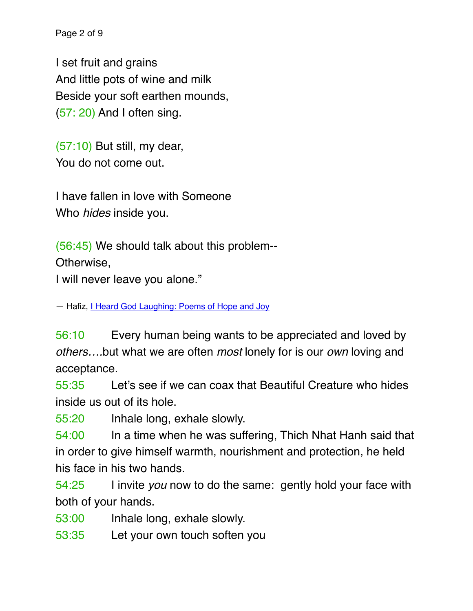Page 2 of 9

I set fruit and grains And little pots of wine and milk Beside your soft earthen mounds, (57: 20) And I often sing.

(57:10) But still, my dear, You do not come out.

I have fallen in love with Someone Who *hides* inside you.

(56:45) We should talk about this problem--

Otherwise,

I will never leave you alone."

― Hafiz, [I Heard God Laughing: Poems of Hope and Joy](https://www.goodreads.com/work/quotes/70583)

56:10 Every human being wants to be appreciated and loved by *others….*but what we are often *most* lonely for is our *own* loving and acceptance.

55:35 Let's see if we can coax that Beautiful Creature who hides inside us out of its hole.

55:20 Inhale long, exhale slowly.

54:00 In a time when he was suffering, Thich Nhat Hanh said that in order to give himself warmth, nourishment and protection, he held his face in his two hands.

54:25 I invite *you* now to do the same: gently hold your face with both of your hands.

- 53:00 Inhale long, exhale slowly.
- 53:35 Let your own touch soften you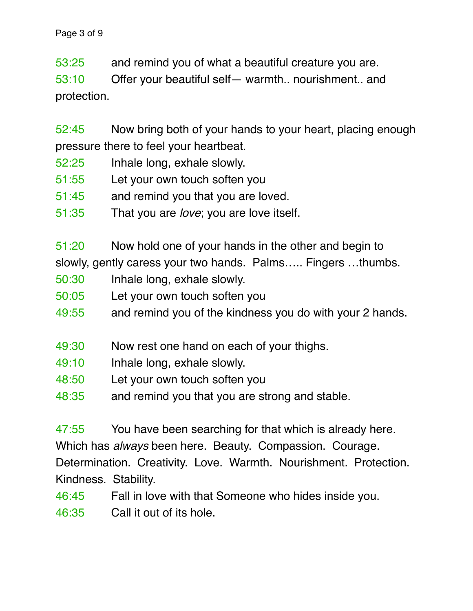53:25 and remind you of what a beautiful creature you are.

53:10 Offer your beautiful self— warmth.. nourishment.. and protection.

52:45 Now bring both of your hands to your heart, placing enough pressure there to feel your heartbeat.

- 52:25 Inhale long, exhale slowly.
- 51:55 Let your own touch soften you
- 51:45 and remind you that you are loved.
- 51:35 That you are *love*; you are love itself.

51:20 Now hold one of your hands in the other and begin to

slowly, gently caress your two hands. Palms….. Fingers …thumbs.

- 50:30 Inhale long, exhale slowly.
- 50:05 Let your own touch soften you
- 49:55 and remind you of the kindness you do with your 2 hands.
- 49:30 Now rest one hand on each of your thighs.
- 49:10 Inhale long, exhale slowly.
- 48:50 Let your own touch soften you
- 48:35 and remind you that you are strong and stable.

47:55 You have been searching for that which is already here. Which has *always* been here. Beauty. Compassion. Courage. Determination. Creativity. Love. Warmth. Nourishment. Protection. Kindness. Stability.

46:45 Fall in love with that Someone who hides inside you.

46:35 Call it out of its hole.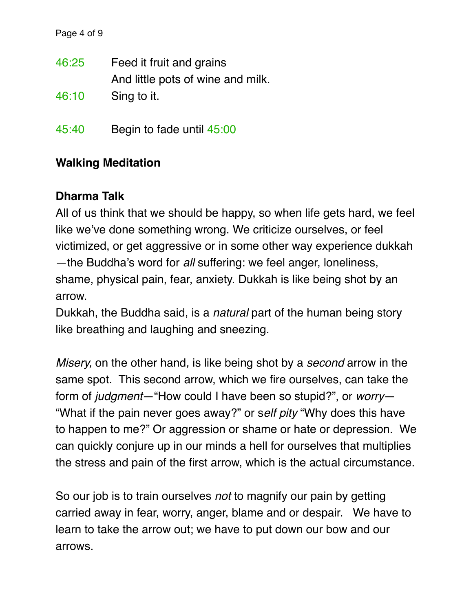| 46:25 | Feed it fruit and grains          |
|-------|-----------------------------------|
|       | And little pots of wine and milk. |
| 46:10 | Sing to it.                       |

45:40 Begin to fade until 45:00

## **Walking Meditation**

## **Dharma Talk**

All of us think that we should be happy, so when life gets hard, we feel like we've done something wrong. We criticize ourselves, or feel victimized, or get aggressive or in some other way experience dukkah —the Buddha's word for *all* suffering: we feel anger, loneliness, shame, physical pain, fear, anxiety. Dukkah is like being shot by an arrow.

Dukkah, the Buddha said, is a *natural* part of the human being story like breathing and laughing and sneezing.

*Misery,* on the other hand*,* is like being shot by a *second* arrow in the same spot. This second arrow, which we fire ourselves, can take the form of *judgment*—"How could I have been so stupid?", or *worry*— "What if the pain never goes away?" or s*elf pity* "Why does this have to happen to me?" Or aggression or shame or hate or depression. We can quickly conjure up in our minds a hell for ourselves that multiplies the stress and pain of the first arrow, which is the actual circumstance.

So our job is to train ourselves *not* to magnify our pain by getting carried away in fear, worry, anger, blame and or despair. We have to learn to take the arrow out; we have to put down our bow and our arrows.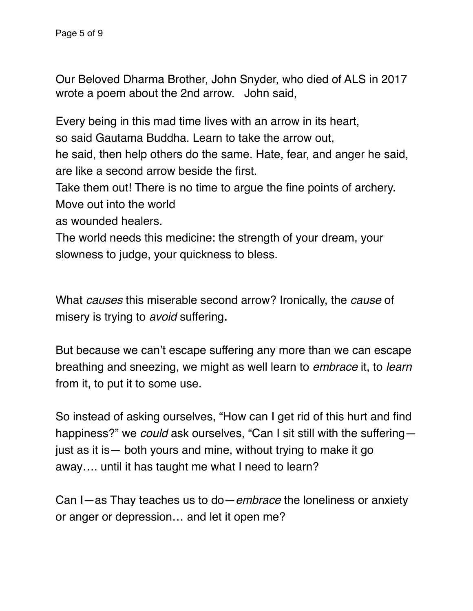Our Beloved Dharma Brother, John Snyder, who died of ALS in 2017 wrote a poem about the 2nd arrow. John said,

Every being in this mad time lives with an arrow in its heart,

so said Gautama Buddha. Learn to take the arrow out,

he said, then help others do the same. Hate, fear, and anger he said, are like a second arrow beside the first.

Take them out! There is no time to argue the fine points of archery. Move out into the world

as wounded healers.

The world needs this medicine: the strength of your dream, your slowness to judge, your quickness to bless.

What *causes* this miserable second arrow? Ironically, the *cause* of misery is trying to *avoid* suffering**.**

But because we can't escape suffering any more than we can escape breathing and sneezing, we might as well learn to *embrace* it, to *learn* from it, to put it to some use.

So instead of asking ourselves, "How can I get rid of this hurt and find happiness?" we *could* ask ourselves, "Can I sit still with the suffering just as it is— both yours and mine, without trying to make it go away…. until it has taught me what I need to learn?

Can I—as Thay teaches us to do—*embrace* the loneliness or anxiety or anger or depression… and let it open me?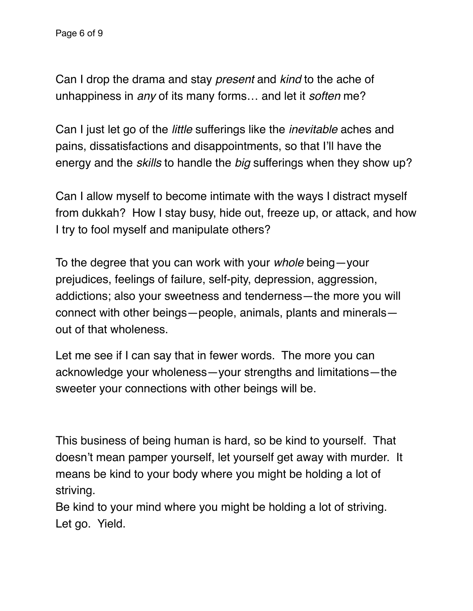Can I drop the drama and stay *present* and *kind* to the ache of unhappiness in *any* of its many forms… and let it *soften* me?

Can I just let go of the *little* sufferings like the *inevitable* aches and pains, dissatisfactions and disappointments, so that I'll have the energy and the *skills* to handle the *big* sufferings when they show up?

Can I allow myself to become intimate with the ways I distract myself from dukkah? How I stay busy, hide out, freeze up, or attack, and how I try to fool myself and manipulate others?

To the degree that you can work with your *whole* being—your prejudices, feelings of failure, self-pity, depression, aggression, addictions; also your sweetness and tenderness—the more you will connect with other beings—people, animals, plants and minerals out of that wholeness.

Let me see if I can say that in fewer words. The more you can acknowledge your wholeness—your strengths and limitations—the sweeter your connections with other beings will be.

This business of being human is hard, so be kind to yourself. That doesn't mean pamper yourself, let yourself get away with murder. It means be kind to your body where you might be holding a lot of striving.

Be kind to your mind where you might be holding a lot of striving. Let go. Yield.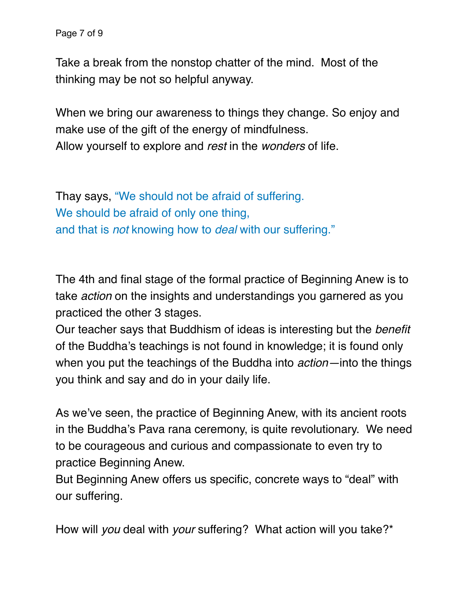Page 7 of 9

Take a break from the nonstop chatter of the mind. Most of the thinking may be not so helpful anyway.

When we bring our awareness to things they change. So enjoy and make use of the gift of the energy of mindfulness. Allow yourself to explore and *rest* in the *wonders* of life.

Thay says, "We should not be afraid of suffering. We should be afraid of only one thing, and that is *not* knowing how to *deal* with our suffering."

The 4th and final stage of the formal practice of Beginning Anew is to take *action* on the insights and understandings you garnered as you practiced the other 3 stages.

Our teacher says that Buddhism of ideas is interesting but the *benefit*  of the Buddha's teachings is not found in knowledge; it is found only when you put the teachings of the Buddha into *action—*into the things you think and say and do in your daily life.

As we've seen, the practice of Beginning Anew, with its ancient roots in the Buddha's Pava rana ceremony, is quite revolutionary. We need to be courageous and curious and compassionate to even try to practice Beginning Anew.

But Beginning Anew offers us specific, concrete ways to "deal" with our suffering.

How will *you* deal with *your* suffering? What action will you take?\*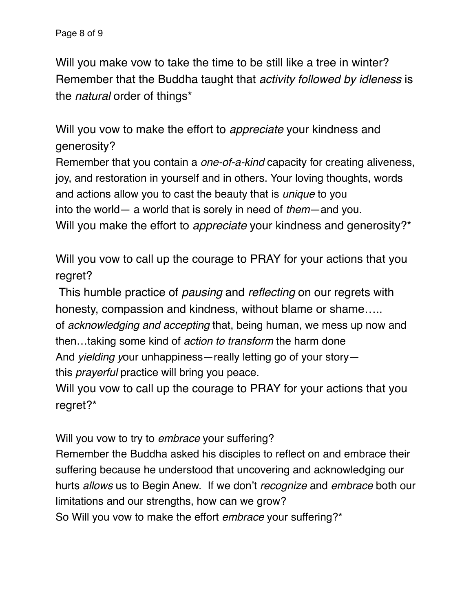Will you make vow to take the time to be still like a tree in winter? Remember that the Buddha taught that *activity followed by idleness* is the *natural* order of things\*

Will you vow to make the effort to *appreciate* your kindness and generosity?

Remember that you contain a *one-of-a-kind* capacity for creating aliveness, joy, and restoration in yourself and in others. Your loving thoughts, words and actions allow you to cast the beauty that is *unique* to you into the world— a world that is sorely in need of *them*—and you. Will you make the effort to *appreciate* your kindness and generosity?\*

Will you vow to call up the courage to PRAY for your actions that you regret?

 This humble practice of *pausing* and *reflecting* on our regrets with honesty, compassion and kindness, without blame or shame.....

of *acknowledging and accepting* that, being human, we mess up now and then…taking some kind of *action to transform* the harm done

And *yielding y*our unhappiness—really letting go of your story—

this *prayerful* practice will bring you peace.

Will you vow to call up the courage to PRAY for your actions that you regret?\*

Will you vow to try to *embrace* your suffering?

Remember the Buddha asked his disciples to reflect on and embrace their suffering because he understood that uncovering and acknowledging our hurts *allows* us to Begin Anew. If we don't *recognize* and *embrace* both our limitations and our strengths, how can we grow?

So Will you vow to make the effort *embrace* your suffering?\*